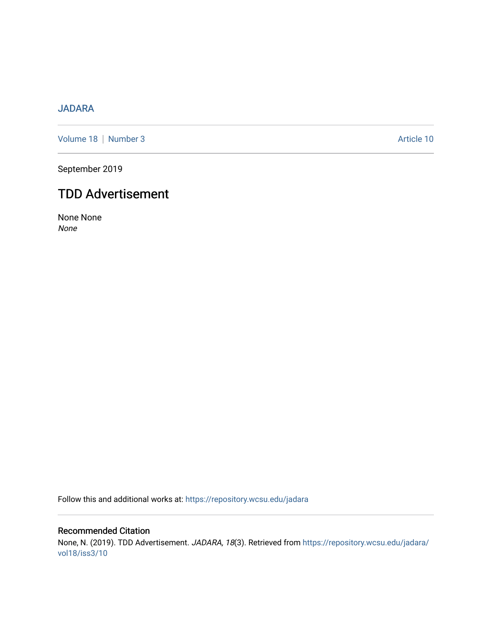## [JADARA](https://repository.wcsu.edu/jadara)

[Volume 18](https://repository.wcsu.edu/jadara/vol18) | [Number 3](https://repository.wcsu.edu/jadara/vol18/iss3) Article 10

September 2019

## TDD Advertisement

None None None

Follow this and additional works at: [https://repository.wcsu.edu/jadara](https://repository.wcsu.edu/jadara?utm_source=repository.wcsu.edu%2Fjadara%2Fvol18%2Fiss3%2F10&utm_medium=PDF&utm_campaign=PDFCoverPages)

## Recommended Citation None, N. (2019). TDD Advertisement. JADARA, 18(3). Retrieved from [https://repository.wcsu.edu/jadara/](https://repository.wcsu.edu/jadara/vol18/iss3/10?utm_source=repository.wcsu.edu%2Fjadara%2Fvol18%2Fiss3%2F10&utm_medium=PDF&utm_campaign=PDFCoverPages) [vol18/iss3/10](https://repository.wcsu.edu/jadara/vol18/iss3/10?utm_source=repository.wcsu.edu%2Fjadara%2Fvol18%2Fiss3%2F10&utm_medium=PDF&utm_campaign=PDFCoverPages)